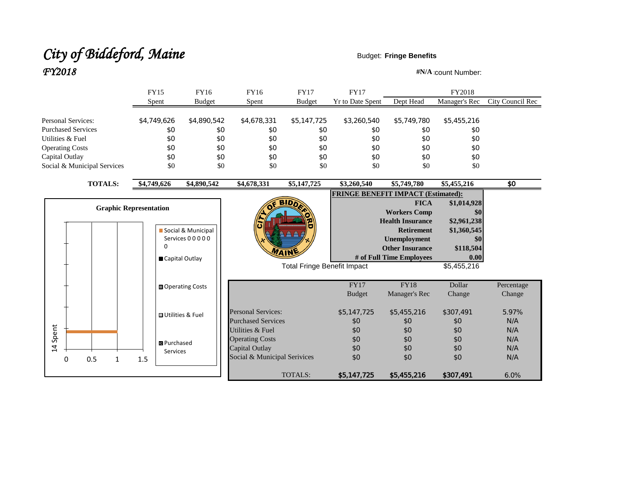# City of Biddeford, Maine **Budget: Fringe Benefits**  $FY2018$  **#N/A** :count Number:

|                               | <b>FY15</b>        | <b>FY16</b>               | FY16                         | <b>FY17</b>                        | <b>FY17</b>                               |                          | FY2018        |                         |
|-------------------------------|--------------------|---------------------------|------------------------------|------------------------------------|-------------------------------------------|--------------------------|---------------|-------------------------|
|                               | Spent              | <b>Budget</b>             | Spent                        | <b>Budget</b>                      | <b>Yr to Date Spent</b>                   | Dept Head                | Manager's Rec | <b>City Council Rec</b> |
| <b>Personal Services:</b>     | \$4,749,626        | \$4,890,542               | \$4,678,331                  | \$5,147,725                        | \$3,260,540                               | \$5,749,780              | \$5,455,216   |                         |
| <b>Purchased Services</b>     | \$0                | \$0                       | \$0                          | \$0                                | \$0                                       | \$0                      | \$0           |                         |
| Utilities & Fuel              | \$0                | \$0                       | \$0                          | \$0                                | \$0                                       | \$0                      | \$0           |                         |
| <b>Operating Costs</b>        | \$0                | \$0                       | \$0                          | \$0                                | \$0                                       | \$0                      | \$0           |                         |
| Capital Outlay                | \$0                | \$0                       | \$0                          | \$0                                | \$0                                       | \$0                      | \$0           |                         |
| Social & Municipal Services   | \$0                | \$0                       | \$0                          | \$0                                | \$0<br>\$0                                |                          | \$0           |                         |
| <b>TOTALS:</b>                | \$4,749,626        | \$4,890,542               | \$4,678,331                  | \$5,147,725                        | \$3,260,540                               | \$5,749,780              | \$5,455,216   | \$0                     |
|                               |                    |                           |                              |                                    | <b>FRINGE BENEFIT IMPACT (Estimated):</b> |                          |               |                         |
| <b>Graphic Representation</b> |                    |                           |                              |                                    |                                           | <b>FICA</b>              | \$1,014,928   |                         |
|                               |                    |                           |                              |                                    |                                           | <b>Workers Comp</b>      | \$0           |                         |
|                               |                    |                           |                              | <b>Health Insurance</b>            |                                           |                          | \$2,961,238   |                         |
|                               |                    | Social & Municipal        |                              |                                    |                                           | <b>Retirement</b>        | \$1,360,545   |                         |
|                               | 0                  | Services 00000            |                              |                                    |                                           | <b>Unemployment</b>      | \$0           |                         |
|                               |                    |                           |                              | <b><i>MAIN</i></b>                 |                                           | <b>Other Insurance</b>   | \$118,504     |                         |
|                               | Capital Outlay     |                           |                              |                                    |                                           | # of Full Time Employees | 0.00          |                         |
|                               |                    |                           |                              | <b>Total Fringe Benefit Impact</b> |                                           |                          | \$5,455,216   |                         |
|                               |                    | ■ Operating Costs         |                              |                                    | <b>FY17</b>                               | <b>FY18</b>              | Dollar        | Percentage              |
|                               |                    |                           |                              |                                    | <b>Budget</b>                             | Manager's Rec            | Change        | Change                  |
|                               |                    | <b>□</b> Utilities & Fuel | <b>Personal Services:</b>    |                                    | \$5,147,725                               | \$5,455,216              | \$307,491     | 5.97%                   |
|                               |                    |                           | <b>Purchased Services</b>    |                                    | \$0                                       | \$0                      | \$0           | N/A                     |
| Spent                         |                    |                           | Utilities & Fuel             |                                    | \$0                                       | \$0                      | \$0           | N/A                     |
|                               | <b>B</b> Purchased |                           | <b>Operating Costs</b>       |                                    | \$0                                       | \$0                      | \$0           | N/A                     |
| $\overline{4}$                | Services           |                           | <b>Capital Outlay</b>        |                                    | \$0                                       | \$0                      | \$0           | N/A                     |
| 0.5<br>0<br>1.5<br>1          |                    |                           | Social & Municipal Serivices |                                    | \$0                                       | \$0                      | \$0           | N/A                     |
|                               |                    |                           |                              | <b>TOTALS:</b>                     | \$5,147,725                               | \$5,455,216              | \$307,491     | 6.0%                    |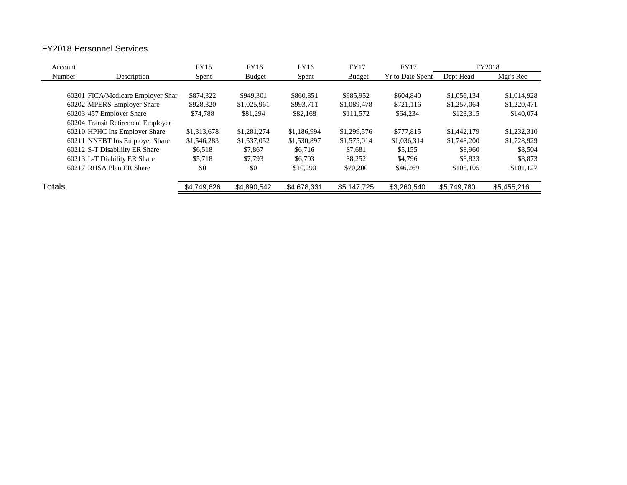## FY2018 Personnel Services

| Account |                                    | <b>FY15</b> | <b>FY16</b>   | FY16        | <b>FY17</b>   | <b>FY17</b>             |             | FY2018      |
|---------|------------------------------------|-------------|---------------|-------------|---------------|-------------------------|-------------|-------------|
| Number  | Description                        | Spent       | <b>Budget</b> | Spent       | <b>Budget</b> | <b>Yr to Date Spent</b> | Dept Head   | Mgr's Rec   |
|         |                                    |             |               |             |               |                         |             |             |
|         | 60201 FICA/Medicare Employer Share | \$874,322   | \$949.301     | \$860,851   | \$985,952     | \$604,840               | \$1,056,134 | \$1,014,928 |
|         | 60202 MPERS-Employer Share         | \$928,320   | \$1,025,961   | \$993,711   | \$1,089,478   | \$721,116               | \$1,257,064 | \$1,220,471 |
|         | 60203 457 Employer Share           | \$74,788    | \$81,294      | \$82,168    | \$111,572     | \$64,234                | \$123,315   | \$140,074   |
|         | 60204 Transit Retirement Employer  |             |               |             |               |                         |             |             |
|         | 60210 HPHC Ins Employer Share      | \$1,313,678 | \$1,281,274   | \$1,186,994 | \$1,299,576   | \$777.815               | \$1,442,179 | \$1,232,310 |
|         | 60211 NNEBT Ins Employer Share     | \$1,546,283 | \$1,537,052   | \$1,530,897 | \$1,575,014   | \$1,036,314             | \$1,748,200 | \$1,728,929 |
|         | 60212 S-T Disabililty ER Share     | \$6,518     | \$7,867       | \$6,716     | \$7.681       | \$5,155                 | \$8,960     | \$8,504     |
|         | 60213 L-T Diability ER Share       | \$5,718     | \$7,793       | \$6,703     | \$8,252       | \$4.796                 | \$8,823     | \$8,873     |
|         | 60217 RHSA Plan ER Share           | \$0         | \$0           | \$10,290    | \$70,200      | \$46,269                | \$105,105   | \$101,127   |
| Totals  |                                    | \$4.749.626 | \$4.890.542   | \$4,678,331 | \$5,147,725   | \$3.260.540             | \$5,749,780 | \$5,455,216 |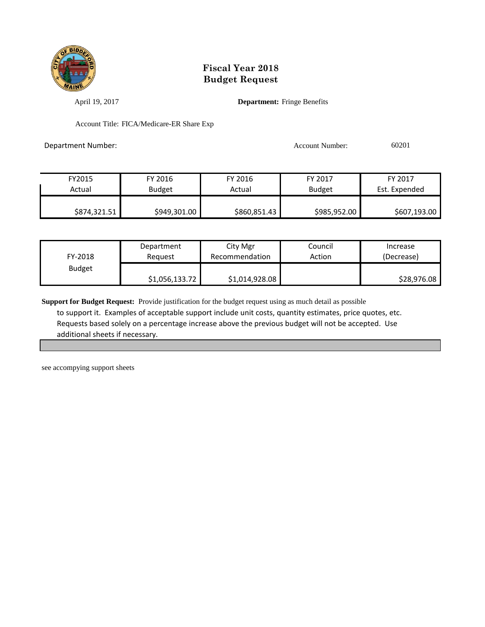

April 19, 2017 **Department:** Fringe Benefits

Account Title: FICA/Medicare-ER Share Exp

Department Number: 60201

| FY2015       | FY 2016       | FY 2016      | FY 2017       | FY 2017       |
|--------------|---------------|--------------|---------------|---------------|
| Actual       | <b>Budget</b> | Actual       | <b>Budget</b> | Est. Expended |
|              |               |              |               |               |
| \$874,321.51 | \$949,301.00  | \$860,851.43 | \$985,952.00  | \$607,193.00  |

| FY-2018       | Department     | City Mgr       | Council | Increase    |
|---------------|----------------|----------------|---------|-------------|
|               | Reauest        | Recommendation | Action  | (Decrease)  |
| <b>Budget</b> | \$1,056,133.72 | \$1,014,928.08 |         | \$28,976.08 |

**Support for Budget Request:** Provide justification for the budget request using as much detail as possible to support it. Examples of acceptable support include unit costs, quantity estimates, price quotes, etc. Requests based solely on a percentage increase above the previous budget will not be accepted. Use additional sheets if necessary.

see accompying support sheets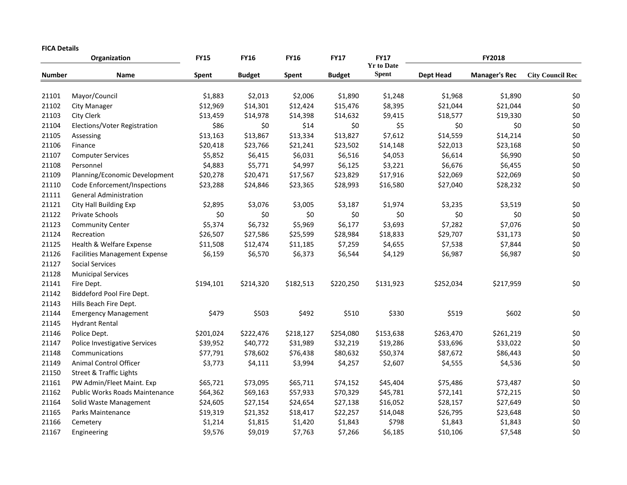#### **FICA Details**

|               | Organization                          | <b>FY15</b>  | <b>FY16</b>   | <b>FY16</b> | <b>FY17</b>   | <b>FY17</b><br><b>Yr to Date</b> | FY2018           |                      |                         |
|---------------|---------------------------------------|--------------|---------------|-------------|---------------|----------------------------------|------------------|----------------------|-------------------------|
| <b>Number</b> | Name                                  | <b>Spent</b> | <b>Budget</b> | Spent       | <b>Budget</b> | <b>Spent</b>                     | <b>Dept Head</b> | <b>Manager's Rec</b> | <b>City Council Rec</b> |
| 21101         | Mayor/Council                         | \$1,883      | \$2,013       | \$2,006     | \$1,890       | \$1,248                          | \$1,968          | \$1,890              | \$0                     |
| 21102         | <b>City Manager</b>                   | \$12,969     | \$14,301      | \$12,424    | \$15,476      | \$8,395                          | \$21,044         | \$21,044             | \$0                     |
| 21103         | City Clerk                            | \$13,459     | \$14,978      | \$14,398    | \$14,632      | \$9,415                          | \$18,577         | \$19,330             | $$0$$                   |
| 21104         | Elections/Voter Registration          | \$86         | \$0           | \$14        | \$0           | \$5                              | \$0              | \$0                  | \$0                     |
| 21105         | Assessing                             | \$13,163     | \$13,867      | \$13,334    | \$13,827      | \$7,612                          | \$14,559         | \$14,214             | $$0$$                   |
| 21106         | Finance                               | \$20,418     | \$23,766      | \$21,241    | \$23,502      | \$14,148                         | \$22,013         | \$23,168             | \$0                     |
| 21107         | <b>Computer Services</b>              | \$5,852      | \$6,415       | \$6,031     | \$6,516       | \$4,053                          | \$6,614          | \$6,990              | $$0$$                   |
| 21108         | Personnel                             | \$4,883      | \$5,771       | \$4,997     | \$6,125       | \$3,221                          | \$6,676          | \$6,455              | $$0$$                   |
| 21109         | Planning/Economic Development         | \$20,278     | \$20,471      | \$17,567    | \$23,829      | \$17,916                         | \$22,069         | \$22,069             | $$0$$                   |
| 21110         | Code Enforcement/Inspections          | \$23,288     | \$24,846      | \$23,365    | \$28,993      | \$16,580                         | \$27,040         | \$28,232             | \$0                     |
| 21111         | <b>General Administration</b>         |              |               |             |               |                                  |                  |                      |                         |
| 21121         | City Hall Building Exp                | \$2,895      | \$3,076       | \$3,005     | \$3,187       | \$1,974                          | \$3,235          | \$3,519              | \$0                     |
| 21122         | Private Schools                       | \$0          | \$0           | \$0         | \$0           | \$0                              | \$0              | \$0                  | \$0                     |
| 21123         | <b>Community Center</b>               | \$5,374      | \$6,732       | \$5,969     | \$6,177       | \$3,693                          | \$7,282          | \$7,076              | $$0$$                   |
| 21124         | Recreation                            | \$26,507     | \$27,586      | \$25,599    | \$28,984      | \$18,833                         | \$29,707         | \$31,173             | $$0$$                   |
| 21125         | Health & Welfare Expense              | \$11,508     | \$12,474      | \$11,185    | \$7,259       | \$4,655                          | \$7,538          | \$7,844              | $$0$$                   |
| 21126         | <b>Facilities Management Expense</b>  | \$6,159      | \$6,570       | \$6,373     | \$6,544       | \$4,129                          | \$6,987          | \$6,987              | \$0                     |
| 21127         | <b>Social Services</b>                |              |               |             |               |                                  |                  |                      |                         |
| 21128         | <b>Municipal Services</b>             |              |               |             |               |                                  |                  |                      |                         |
| 21141         | Fire Dept.                            | \$194,101    | \$214,320     | \$182,513   | \$220,250     | \$131,923                        | \$252,034        | \$217,959            | \$0                     |
| 21142         | Biddeford Pool Fire Dept.             |              |               |             |               |                                  |                  |                      |                         |
| 21143         | Hills Beach Fire Dept.                |              |               |             |               |                                  |                  |                      |                         |
| 21144         | <b>Emergency Management</b>           | \$479        | \$503         | \$492       | \$510         | \$330                            | \$519            | \$602                | \$0                     |
| 21145         | <b>Hydrant Rental</b>                 |              |               |             |               |                                  |                  |                      |                         |
| 21146         | Police Dept.                          | \$201,024    | \$222,476     | \$218,127   | \$254,080     | \$153,638                        | \$263,470        | \$261,219            | \$0                     |
| 21147         | Police Investigative Services         | \$39,952     | \$40,772      | \$31,989    | \$32,219      | \$19,286                         | \$33,696         | \$33,022             | $$0$$                   |
| 21148         | Communications                        | \$77,791     | \$78,602      | \$76,438    | \$80,632      | \$50,374                         | \$87,672         | \$86,443             | \$0                     |
| 21149         | <b>Animal Control Officer</b>         | \$3,773      | \$4,111       | \$3,994     | \$4,257       | \$2,607                          | \$4,555          | \$4,536              | \$0                     |
| 21150         | <b>Street &amp; Traffic Lights</b>    |              |               |             |               |                                  |                  |                      |                         |
| 21161         | PW Admin/Fleet Maint. Exp             | \$65,721     | \$73,095      | \$65,711    | \$74,152      | \$45,404                         | \$75,486         | \$73,487             | \$0                     |
| 21162         | <b>Public Works Roads Maintenance</b> | \$64,362     | \$69,163      | \$57,933    | \$70,329      | \$45,781                         | \$72,141         | \$72,215             | \$0                     |
| 21164         | Solid Waste Management                | \$24,605     | \$27,154      | \$24,654    | \$27,138      | \$16,052                         | \$28,157         | \$27,649             | $$0$$                   |
| 21165         | Parks Maintenance                     | \$19,319     | \$21,352      | \$18,417    | \$22,257      | \$14,048                         | \$26,795         | \$23,648             | $$0$$                   |
| 21166         | Cemetery                              | \$1,214      | \$1,815       | \$1,420     | \$1,843       | \$798                            | \$1,843          | \$1,843              | \$0                     |
| 21167         | Engineering                           | \$9,576      | \$9,019       | \$7,763     | \$7,266       | \$6,185                          | \$10,106         | \$7,548              | \$0                     |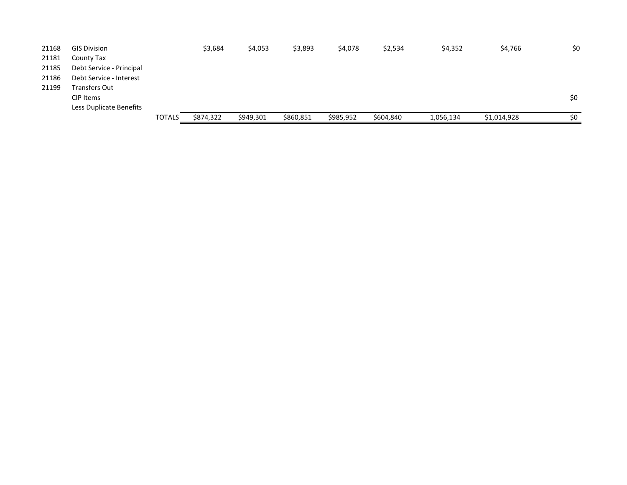| 21168 | <b>GIS Division</b>      |               | \$3,684   | \$4,053   | \$3,893   | \$4,078   | \$2,534   | \$4,352   | \$4,766     | \$0 |
|-------|--------------------------|---------------|-----------|-----------|-----------|-----------|-----------|-----------|-------------|-----|
| 21181 | County Tax               |               |           |           |           |           |           |           |             |     |
| 21185 | Debt Service - Principal |               |           |           |           |           |           |           |             |     |
| 21186 | Debt Service - Interest  |               |           |           |           |           |           |           |             |     |
| 21199 | Transfers Out            |               |           |           |           |           |           |           |             |     |
|       | CIP Items                |               |           |           |           |           |           |           |             | \$0 |
|       | Less Duplicate Benefits  |               |           |           |           |           |           |           |             |     |
|       |                          | <b>TOTALS</b> | \$874,322 | \$949,301 | \$860,851 | \$985,952 | \$604,840 | 1,056,134 | \$1,014,928 | \$0 |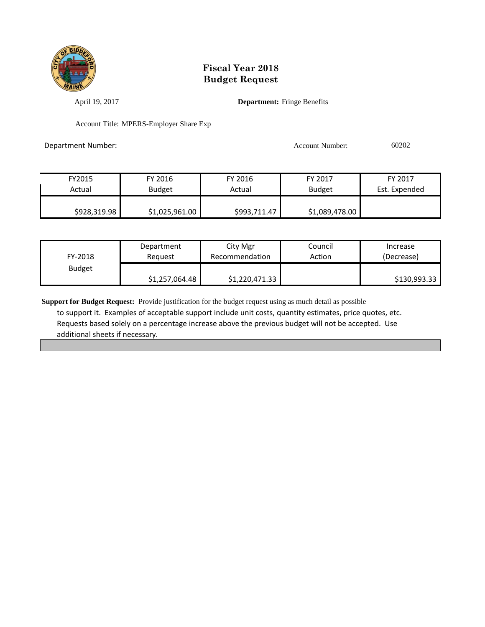

April 19, 2017 **Department:** Fringe Benefits

Account Title: MPERS-Employer Share Exp

Department Number: Account Number: 60202

| FY2015       | FY 2016        | FY 2016      | FY 2017        | FY 2017       |
|--------------|----------------|--------------|----------------|---------------|
| Actual       | <b>Budget</b>  | Actual       | <b>Budget</b>  | Est. Expended |
|              |                |              |                |               |
| \$928,319.98 | \$1,025,961.00 | \$993,711.47 | \$1,089,478.00 |               |

| FY-2018       | Department     | City Mgr       | Council | Increase     |
|---------------|----------------|----------------|---------|--------------|
|               | Reauest        | Recommendation | Action  | (Decrease)   |
| <b>Budget</b> | \$1,257,064.48 | \$1,220,471.33 |         | \$130,993.33 |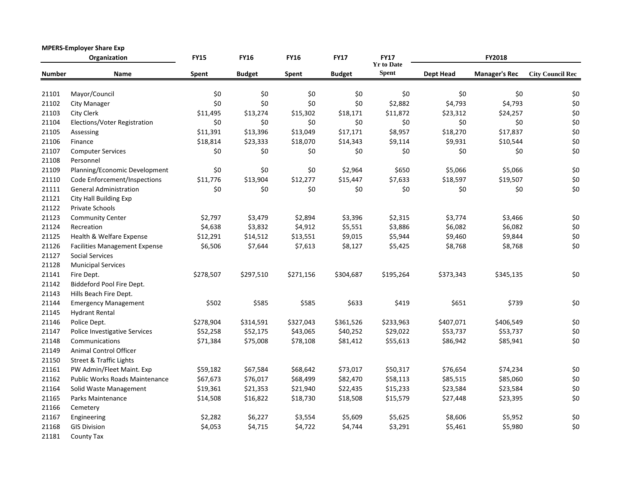| <b>MPERS-Employer Share Exp</b><br>Organization |                                      | <b>FY15</b> | <b>FY16</b>   | <b>FY16</b> | <b>FY17</b>   | <b>FY17</b><br><b>Yr to Date</b> |                  | FY2018               |                         |
|-------------------------------------------------|--------------------------------------|-------------|---------------|-------------|---------------|----------------------------------|------------------|----------------------|-------------------------|
| <b>Number</b>                                   | Name                                 | Spent       | <b>Budget</b> | Spent       | <b>Budget</b> | <b>Spent</b>                     | <b>Dept Head</b> | <b>Manager's Rec</b> | <b>City Council Rec</b> |
| 21101                                           | Mayor/Council                        | \$0         | \$0           | \$0         | \$0           | \$0                              | \$0              | \$0                  | \$0                     |
| 21102                                           | City Manager                         | \$0         | \$0           | \$0         | \$0           | \$2,882                          | \$4,793          | \$4,793              | \$0                     |
| 21103                                           | City Clerk                           | \$11,495    | \$13,274      | \$15,302    | \$18,171      | \$11,872                         | \$23,312         | \$24,257             | \$0                     |
| 21104                                           | Elections/Voter Registration         | \$0         | \$0           | \$0         | \$0           | \$0                              | \$0              | \$0                  | \$0                     |
| 21105                                           | Assessing                            | \$11,391    | \$13,396      | \$13,049    | \$17,171      | \$8,957                          | \$18,270         | \$17,837             | \$0                     |
| 21106                                           | Finance                              | \$18,814    | \$23,333      | \$18,070    | \$14,343      | \$9,114                          | \$9,931          | \$10,544             | \$0                     |
| 21107                                           | <b>Computer Services</b>             | \$0         | \$0           | \$0         | \$0           | \$0                              | \$0              | \$0                  | \$0                     |
| 21108                                           | Personnel                            |             |               |             |               |                                  |                  |                      |                         |
| 21109                                           | Planning/Economic Development        | \$0         | \$0           | \$0         | \$2,964       | \$650                            | \$5,066          | \$5,066              | \$0                     |
| 21110                                           | Code Enforcement/Inspections         | \$11,776    | \$13,904      | \$12,277    | \$15,447      | \$7,633                          | \$18,597         | \$19,507             | $$0$                    |
| 21111                                           | <b>General Administration</b>        | \$0         | \$0           | \$0         | \$0           | \$0                              | \$0              | \$0                  | \$0                     |
| 21121                                           | City Hall Building Exp               |             |               |             |               |                                  |                  |                      |                         |
| 21122                                           | Private Schools                      |             |               |             |               |                                  |                  |                      |                         |
| 21123                                           | <b>Community Center</b>              | \$2,797     | \$3,479       | \$2,894     | \$3,396       | \$2,315                          | \$3,774          | \$3,466              | \$0                     |
| 21124                                           | Recreation                           | \$4,638     | \$3,832       | \$4,912     | \$5,551       | \$3,886                          | \$6,082          | \$6,082              | \$0                     |
| 21125                                           | Health & Welfare Expense             | \$12,291    | \$14,512      | \$13,551    | \$9,015       | \$5,944                          | \$9,460          | \$9,844              | \$0                     |
| 21126                                           | <b>Facilities Management Expense</b> | \$6,506     | \$7,644       | \$7,613     | \$8,127       | \$5,425                          | \$8,768          | \$8,768              | \$0                     |
| 21127                                           | <b>Social Services</b>               |             |               |             |               |                                  |                  |                      |                         |
| 21128                                           | <b>Municipal Services</b>            |             |               |             |               |                                  |                  |                      |                         |
| 21141                                           | Fire Dept.                           | \$278,507   | \$297,510     | \$271,156   | \$304,687     | \$195,264                        | \$373,343        | \$345,135            | \$0                     |
| 21142                                           | Biddeford Pool Fire Dept.            |             |               |             |               |                                  |                  |                      |                         |
| 21143                                           | Hills Beach Fire Dept.               |             |               |             |               |                                  |                  |                      |                         |
| 21144                                           | <b>Emergency Management</b>          | \$502       | \$585         | \$585       | \$633         | \$419                            | \$651            | \$739                | \$0                     |
| 21145                                           | <b>Hydrant Rental</b>                |             |               |             |               |                                  |                  |                      |                         |
| 21146                                           | Police Dept.                         | \$278,904   | \$314,591     | \$327,043   | \$361,526     | \$233,963                        | \$407,071        | \$406,549            | \$0                     |
| 21147                                           | Police Investigative Services        | \$52,258    | \$52,175      | \$43,065    | \$40,252      | \$29,022                         | \$53,737         | \$53,737             | \$0                     |
| 21148                                           | Communications                       | \$71,384    | \$75,008      | \$78,108    | \$81,412      | \$55,613                         | \$86,942         | \$85,941             | \$0                     |
| 21149                                           | <b>Animal Control Officer</b>        |             |               |             |               |                                  |                  |                      |                         |
| 21150                                           | <b>Street &amp; Traffic Lights</b>   |             |               |             |               |                                  |                  |                      |                         |
| 21161                                           | PW Admin/Fleet Maint. Exp            | \$59,182    | \$67,584      | \$68,642    | \$73,017      | \$50,317                         | \$76,654         | \$74,234             | \$0                     |
| 21162                                           | Public Works Roads Maintenance       | \$67,673    | \$76,017      | \$68,499    | \$82,470      | \$58,113                         | \$85,515         | \$85,060             | $$0$$                   |
| 21164                                           | Solid Waste Management               | \$19,361    | \$21,353      | \$21,940    | \$22,435      | \$15,233                         | \$23,584         | \$23,584             | \$0                     |
| 21165                                           | Parks Maintenance                    | \$14,508    | \$16,822      | \$18,730    | \$18,508      | \$15,579                         | \$27,448         | \$23,395             | \$0                     |
| 21166                                           | Cemetery                             |             |               |             |               |                                  |                  |                      |                         |
| 21167                                           | Engineering                          | \$2,282     | \$6,227       | \$3,554     | \$5,609       | \$5,625                          | \$8,606          | \$5,952              | \$0                     |
| 21168                                           | <b>GIS Division</b>                  | \$4,053     | \$4,715       | \$4,722     | \$4,744       | \$3,291                          | \$5,461          | \$5,980              | \$0                     |
| 21181                                           | County Tax                           |             |               |             |               |                                  |                  |                      |                         |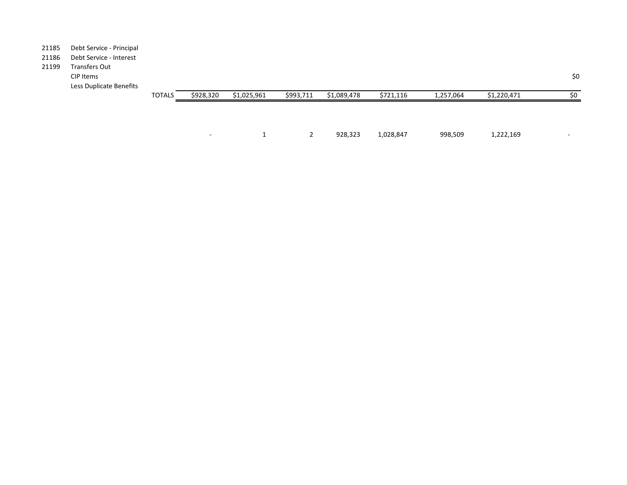#### 21185 Debt Service - Principal

### 21186 Debt Service - Interest

21199 Transfers Out CIP Items \$0 Less Duplicate Benefits

| <b>TOTALS</b> | \$928,320 | \$1,025,961 | \$993,711 | \$1,089,478 | \$721,116 | 1,257,064 | \$1,220,471 | \$0                      |
|---------------|-----------|-------------|-----------|-------------|-----------|-----------|-------------|--------------------------|
|               |           |             |           |             |           |           |             |                          |
|               |           |             |           |             |           |           |             |                          |
|               |           |             |           |             |           |           |             |                          |
|               | $\sim$    |             |           | 928,323     | 1,028,847 | 998,509   | 1,222,169   | $\overline{\phantom{a}}$ |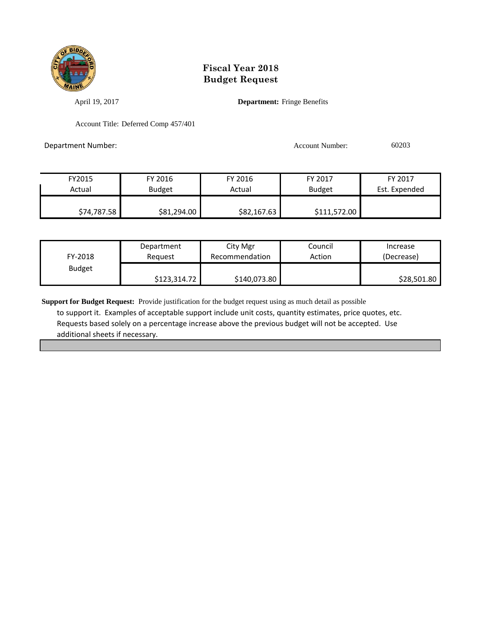

April 19, 2017 **Department:** Fringe Benefits

Account Title: Deferred Comp 457/401

Department Number: Account Number: 60203

| FY2015      | FY 2016       | FY 2016     | FY 2017       | FY 2017       |
|-------------|---------------|-------------|---------------|---------------|
| Actual      | <b>Budget</b> | Actual      | <b>Budget</b> | Est. Expended |
|             |               |             |               |               |
| \$74,787.58 | \$81,294.00   | \$82,167.63 | \$111,572.00  |               |

| FY-2018       | Department   | City Mgr       | Council | Increase    |
|---------------|--------------|----------------|---------|-------------|
|               | Reauest      | Recommendation | Action  | (Decrease)  |
| <b>Budget</b> | \$123,314.72 | \$140,073.80   |         | \$28,501.80 |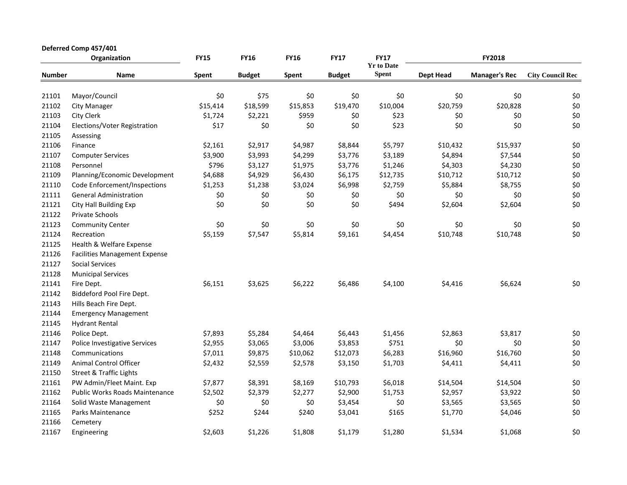|               | Deferred Comp 457/401                 |             |               |             |               |                                  |                  |                      |                         |
|---------------|---------------------------------------|-------------|---------------|-------------|---------------|----------------------------------|------------------|----------------------|-------------------------|
|               | Organization                          | <b>FY15</b> | <b>FY16</b>   | <b>FY16</b> | <b>FY17</b>   | <b>FY17</b><br><b>Yr to Date</b> |                  | FY2018               |                         |
| <b>Number</b> | Name                                  | Spent       | <b>Budget</b> | Spent       | <b>Budget</b> | <b>Spent</b>                     | <b>Dept Head</b> | <b>Manager's Rec</b> | <b>City Council Rec</b> |
| 21101         | Mayor/Council                         | \$0         | \$75          | \$0         | \$0           | \$0                              | \$0              | \$0                  | \$0                     |
| 21102         | <b>City Manager</b>                   | \$15,414    | \$18,599      | \$15,853    | \$19,470      | \$10,004                         | \$20,759         | \$20,828             | \$0                     |
| 21103         | City Clerk                            | \$1,724     | \$2,221       | \$959       | \$0           | \$23                             | \$0              | \$0                  | \$0                     |
| 21104         | Elections/Voter Registration          | \$17        | \$0           | \$0         | \$0           | \$23                             | \$0              | \$0                  | \$0                     |
| 21105         | Assessing                             |             |               |             |               |                                  |                  |                      |                         |
| 21106         | Finance                               | \$2,161     | \$2,917       | \$4,987     | \$8,844       | \$5,797                          | \$10,432         | \$15,937             | \$0                     |
| 21107         | <b>Computer Services</b>              | \$3,900     | \$3,993       | \$4,299     | \$3,776       | \$3,189                          | \$4,894          | \$7,544              | \$0                     |
| 21108         | Personnel                             | \$796       | \$3,127       | \$1,975     | \$3,776       | \$1,246                          | \$4,303          | \$4,230              | \$0                     |
| 21109         | Planning/Economic Development         | \$4,688     | \$4,929       | \$6,430     | \$6,175       | \$12,735                         | \$10,712         | \$10,712             | \$0                     |
| 21110         | Code Enforcement/Inspections          | \$1,253     | \$1,238       | \$3,024     | \$6,998       | \$2,759                          | \$5,884          | \$8,755              | \$0                     |
| 21111         | <b>General Administration</b>         | \$0         | \$0           | \$0         | \$0           | \$0                              | \$0              | \$0                  | \$0                     |
| 21121         | <b>City Hall Building Exp</b>         | \$0         | \$0           | \$0         | \$0           | \$494                            | \$2,604          | \$2,604              | \$0                     |
| 21122         | Private Schools                       |             |               |             |               |                                  |                  |                      |                         |
| 21123         | <b>Community Center</b>               | \$0         | \$0           | \$0         | \$0           | \$0                              | \$0              | \$0                  | \$0                     |
| 21124         | Recreation                            | \$5,159     | \$7,547       | \$5,814     | \$9,161       | \$4,454                          | \$10,748         | \$10,748             | \$0                     |
| 21125         | Health & Welfare Expense              |             |               |             |               |                                  |                  |                      |                         |
| 21126         | <b>Facilities Management Expense</b>  |             |               |             |               |                                  |                  |                      |                         |
| 21127         | <b>Social Services</b>                |             |               |             |               |                                  |                  |                      |                         |
| 21128         | <b>Municipal Services</b>             |             |               |             |               |                                  |                  |                      |                         |
| 21141         | Fire Dept.                            | \$6,151     | \$3,625       | \$6,222     | \$6,486       | \$4,100                          | \$4,416          | \$6,624              | \$0                     |
| 21142         | Biddeford Pool Fire Dept.             |             |               |             |               |                                  |                  |                      |                         |
| 21143         | Hills Beach Fire Dept.                |             |               |             |               |                                  |                  |                      |                         |
| 21144         | <b>Emergency Management</b>           |             |               |             |               |                                  |                  |                      |                         |
| 21145         | <b>Hydrant Rental</b>                 |             |               |             |               |                                  |                  |                      |                         |
| 21146         | Police Dept.                          | \$7,893     | \$5,284       | \$4,464     | \$6,443       | \$1,456                          | \$2,863          | \$3,817              | \$0                     |
| 21147         | Police Investigative Services         | \$2,955     | \$3,065       | \$3,006     | \$3,853       | \$751                            | \$0              | \$0                  | \$0                     |
| 21148         | Communications                        | \$7,011     | \$9,875       | \$10,062    | \$12,073      | \$6,283                          | \$16,960         | \$16,760             | \$0                     |
| 21149         | <b>Animal Control Officer</b>         | \$2,432     | \$2,559       | \$2,578     | \$3,150       | \$1,703                          | \$4,411          | \$4,411              | \$0                     |
| 21150         | <b>Street &amp; Traffic Lights</b>    |             |               |             |               |                                  |                  |                      |                         |
| 21161         | PW Admin/Fleet Maint. Exp             | \$7,877     | \$8,391       | \$8,169     | \$10,793      | \$6,018                          | \$14,504         | \$14,504             | \$0                     |
| 21162         | <b>Public Works Roads Maintenance</b> | \$2,502     | \$2,379       | \$2,277     | \$2,900       | \$1,753                          | \$2,957          | \$3,922              | \$0                     |
| 21164         | Solid Waste Management                | \$0         | \$0           | \$0         | \$3,454       | \$0                              | \$3,565          | \$3,565              | \$0                     |
| 21165         | Parks Maintenance                     | \$252       | \$244         | \$240       | \$3,041       | \$165                            | \$1,770          | \$4,046              | \$0                     |
| 21166         | Cemetery                              |             |               |             |               |                                  |                  |                      |                         |
| 21167         | Engineering                           | \$2,603     | \$1,226       | \$1,808     | \$1,179       | \$1,280                          | \$1,534          | \$1,068              | \$0                     |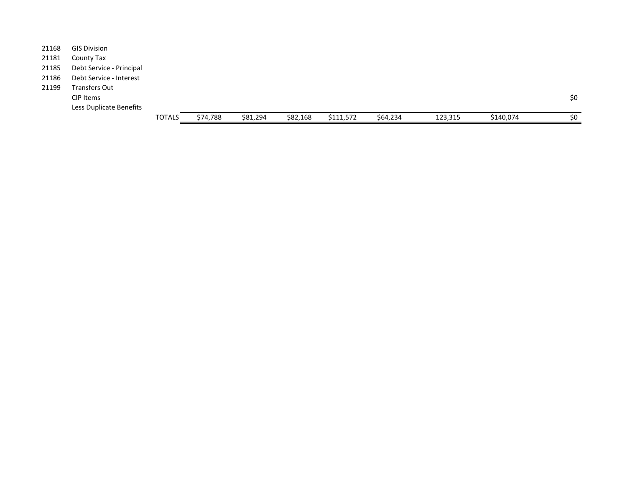|       |                          | <b>TOTALS</b> | \$74,788 | \$81,294 | \$82,168 | \$111,572 | \$64,234 | 123,315 | \$140,074 | \$0 |
|-------|--------------------------|---------------|----------|----------|----------|-----------|----------|---------|-----------|-----|
|       | Less Duplicate Benefits  |               |          |          |          |           |          |         |           |     |
|       | CIP Items                |               |          |          |          |           |          |         |           | \$0 |
| 21199 | Transfers Out            |               |          |          |          |           |          |         |           |     |
| 21186 | Debt Service - Interest  |               |          |          |          |           |          |         |           |     |
| 21185 | Debt Service - Principal |               |          |          |          |           |          |         |           |     |
| 21181 | County Tax               |               |          |          |          |           |          |         |           |     |
| 21168 | <b>GIS Division</b>      |               |          |          |          |           |          |         |           |     |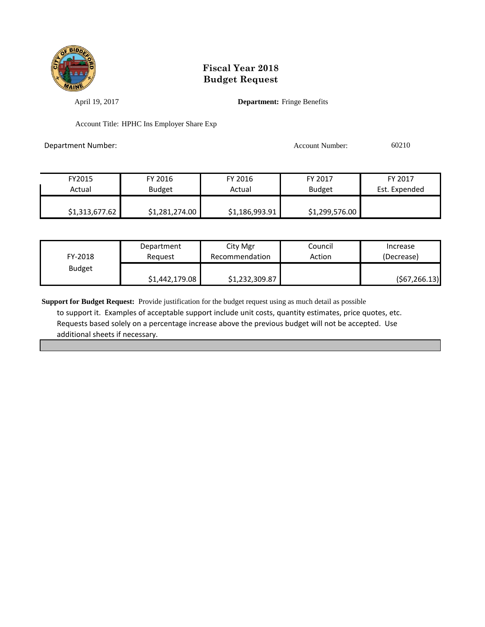

April 19, 2017 **Department:** Fringe Benefits

Account Title: HPHC Ins Employer Share Exp

Department Number: Account Number: 60210

| FY2015         | FY 2016        | FY 2016        | FY 2017        | FY 2017       |
|----------------|----------------|----------------|----------------|---------------|
| Actual         | <b>Budget</b>  | Actual         | <b>Budget</b>  | Est. Expended |
|                |                |                |                |               |
| \$1,313,677.62 | \$1,281,274.00 | \$1,186,993.91 | \$1,299,576.00 |               |

| FY-2018       | Department     | City Mgr       | Council | Increase      |
|---------------|----------------|----------------|---------|---------------|
|               | Reauest        | Recommendation | Action  | (Decrease)    |
| <b>Budget</b> | \$1,442,179.08 | \$1,232,309.87 |         | (567, 266.13) |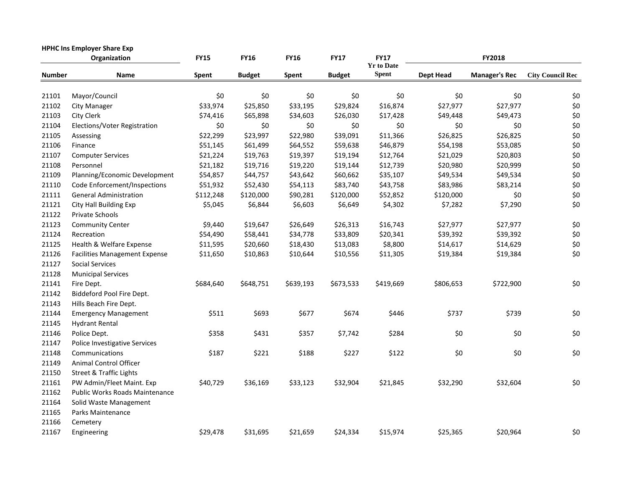| <b>HPHC Ins Employer Share Exp</b><br>Organization |                                       | <b>FY15</b>  | <b>FY16</b>   | <b>FY16</b> | <b>FY17</b>   | <b>FY17</b>                       |                  | <b>FY2018</b>        |                         |
|----------------------------------------------------|---------------------------------------|--------------|---------------|-------------|---------------|-----------------------------------|------------------|----------------------|-------------------------|
| <b>Number</b>                                      | Name                                  | <b>Spent</b> | <b>Budget</b> | Spent       | <b>Budget</b> | <b>Yr to Date</b><br><b>Spent</b> | <b>Dept Head</b> | <b>Manager's Rec</b> | <b>City Council Rec</b> |
| 21101                                              | Mayor/Council                         | \$0          | \$0           | \$0         | \$0           | \$0                               | \$0              | \$0                  | \$0                     |
| 21102                                              | <b>City Manager</b>                   | \$33,974     | \$25,850      | \$33,195    | \$29,824      | \$16,874                          | \$27,977         | \$27,977             | \$0                     |
| 21103                                              | <b>City Clerk</b>                     | \$74,416     | \$65,898      | \$34,603    | \$26,030      | \$17,428                          | \$49,448         | \$49,473             | \$0                     |
| 21104                                              | Elections/Voter Registration          | \$0          | \$0           | \$0         | \$0           | \$0                               | \$0              | \$0                  | \$0                     |
| 21105                                              | Assessing                             | \$22,299     | \$23,997      | \$22,980    | \$39,091      | \$11,366                          | \$26,825         | \$26,825             | \$0                     |
| 21106                                              | Finance                               | \$51,145     | \$61,499      | \$64,552    | \$59,638      | \$46,879                          | \$54,198         | \$53,085             | \$0                     |
| 21107                                              | <b>Computer Services</b>              | \$21,224     | \$19,763      | \$19,397    | \$19,194      | \$12,764                          | \$21,029         | \$20,803             | \$0                     |
| 21108                                              | Personnel                             | \$21,182     | \$19,716      | \$19,220    | \$19,144      | \$12,739                          | \$20,980         | \$20,999             | \$0                     |
| 21109                                              | Planning/Economic Development         | \$54,857     | \$44,757      | \$43,642    | \$60,662      | \$35,107                          | \$49,534         | \$49,534             | \$0                     |
| 21110                                              | Code Enforcement/Inspections          | \$51,932     | \$52,430      | \$54,113    | \$83,740      | \$43,758                          | \$83,986         | \$83,214             | \$0                     |
| 21111                                              | <b>General Administration</b>         | \$112,248    | \$120,000     | \$90,281    | \$120,000     | \$52,852                          | \$120,000        | \$0                  | \$0                     |
| 21121                                              | City Hall Building Exp                | \$5,045      | \$6,844       | \$6,603     | \$6,649       | \$4,302                           | \$7,282          | \$7,290              | \$0                     |
| 21122                                              | Private Schools                       |              |               |             |               |                                   |                  |                      |                         |
| 21123                                              | <b>Community Center</b>               | \$9,440      | \$19,647      | \$26,649    | \$26,313      | \$16,743                          | \$27,977         | \$27,977             | \$0                     |
| 21124                                              | Recreation                            | \$54,490     | \$58,441      | \$34,778    | \$33,809      | \$20,341                          | \$39,392         | \$39,392             | \$0                     |
| 21125                                              | Health & Welfare Expense              | \$11,595     | \$20,660      | \$18,430    | \$13,083      | \$8,800                           | \$14,617         | \$14,629             | \$0                     |
| 21126                                              | <b>Facilities Management Expense</b>  | \$11,650     | \$10,863      | \$10,644    | \$10,556      | \$11,305                          | \$19,384         | \$19,384             | \$0                     |
| 21127                                              | <b>Social Services</b>                |              |               |             |               |                                   |                  |                      |                         |
| 21128                                              | <b>Municipal Services</b>             |              |               |             |               |                                   |                  |                      |                         |
| 21141                                              | Fire Dept.                            | \$684,640    | \$648,751     | \$639,193   | \$673,533     | \$419,669                         | \$806,653        | \$722,900            | \$0                     |
| 21142                                              | Biddeford Pool Fire Dept.             |              |               |             |               |                                   |                  |                      |                         |
| 21143                                              | Hills Beach Fire Dept.                |              |               |             |               |                                   |                  |                      |                         |
| 21144                                              | <b>Emergency Management</b>           | \$511        | \$693         | \$677       | \$674         | \$446                             | \$737            | \$739                | \$0                     |
| 21145                                              | <b>Hydrant Rental</b>                 |              |               |             |               |                                   |                  |                      |                         |
| 21146                                              | Police Dept.                          | \$358        | \$431         | \$357       | \$7,742       | \$284                             | \$0              | \$0                  | \$0                     |
| 21147                                              | Police Investigative Services         |              |               |             |               |                                   |                  |                      |                         |
| 21148                                              | Communications                        | \$187        | \$221         | \$188       | \$227         | \$122                             | \$0              | \$0                  | \$0                     |
| 21149                                              | Animal Control Officer                |              |               |             |               |                                   |                  |                      |                         |
| 21150                                              | <b>Street &amp; Traffic Lights</b>    |              |               |             |               |                                   |                  |                      |                         |
| 21161                                              | PW Admin/Fleet Maint. Exp             | \$40,729     | \$36,169      | \$33,123    | \$32,904      | \$21,845                          | \$32,290         | \$32,604             | \$0                     |
| 21162                                              | <b>Public Works Roads Maintenance</b> |              |               |             |               |                                   |                  |                      |                         |
| 21164                                              | Solid Waste Management                |              |               |             |               |                                   |                  |                      |                         |
| 21165                                              | Parks Maintenance                     |              |               |             |               |                                   |                  |                      |                         |
| 21166                                              | Cemetery                              |              |               |             |               |                                   |                  |                      |                         |
| 21167                                              | Engineering                           | \$29,478     | \$31,695      | \$21,659    | \$24,334      | \$15,974                          | \$25,365         | \$20,964             | \$0                     |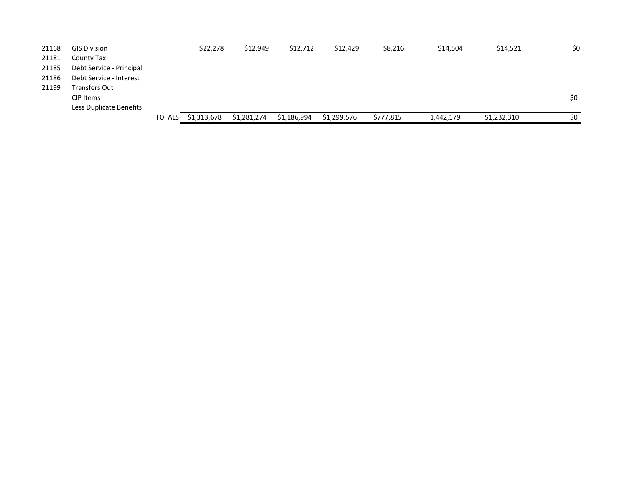| 21168 | <b>GIS Division</b>      |               | \$22,278    | \$12,949    | \$12,712    | \$12,429    | \$8,216   | \$14,504  | \$14,521    | \$0 |
|-------|--------------------------|---------------|-------------|-------------|-------------|-------------|-----------|-----------|-------------|-----|
| 21181 | County Tax               |               |             |             |             |             |           |           |             |     |
| 21185 | Debt Service - Principal |               |             |             |             |             |           |           |             |     |
| 21186 | Debt Service - Interest  |               |             |             |             |             |           |           |             |     |
| 21199 | Transfers Out            |               |             |             |             |             |           |           |             |     |
|       | CIP Items                |               |             |             |             |             |           |           |             | \$0 |
|       | Less Duplicate Benefits  |               |             |             |             |             |           |           |             |     |
|       |                          | <b>TOTALS</b> | \$1,313,678 | \$1,281,274 | \$1,186,994 | \$1,299,576 | \$777,815 | 1,442,179 | \$1,232,310 | \$0 |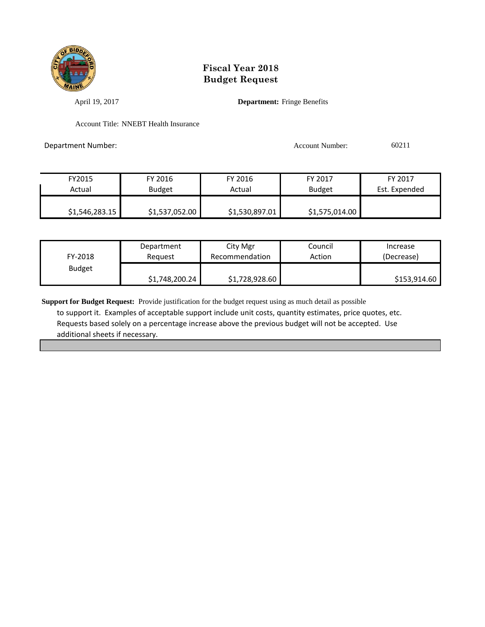

April 19, 2017 **Department:** Fringe Benefits

Account Title: NNEBT Health Insurance

Department Number: 60211

| FY2015         | FY 2016        | FY 2016        | FY 2017        | FY 2017       |
|----------------|----------------|----------------|----------------|---------------|
| Actual         | <b>Budget</b>  | Actual         | <b>Budget</b>  | Est. Expended |
|                |                |                |                |               |
| \$1,546,283.15 | \$1,537,052.00 | \$1,530,897.01 | \$1,575,014.00 |               |

| FY-2018       | Department     | City Mgr       | Council | Increase     |
|---------------|----------------|----------------|---------|--------------|
|               | Reauest        | Recommendation | Action  | (Decrease)   |
| <b>Budget</b> | \$1,748,200.24 | \$1,728,928.60 |         | \$153,914.60 |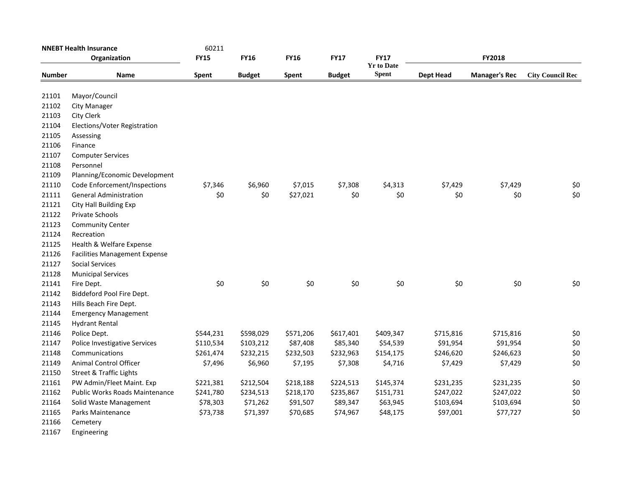| <b>NNEBT Health Insurance</b> |                                       | 60211       |               |             |               |                                  |                  |                      |                         |
|-------------------------------|---------------------------------------|-------------|---------------|-------------|---------------|----------------------------------|------------------|----------------------|-------------------------|
|                               | Organization                          | <b>FY15</b> | <b>FY16</b>   | <b>FY16</b> | <b>FY17</b>   | <b>FY17</b><br><b>Yr to Date</b> |                  | <b>FY2018</b>        |                         |
| <b>Number</b>                 | Name                                  | Spent       | <b>Budget</b> | Spent       | <b>Budget</b> | <b>Spent</b>                     | <b>Dept Head</b> | <b>Manager's Rec</b> | <b>City Council Rec</b> |
| 21101                         | Mayor/Council                         |             |               |             |               |                                  |                  |                      |                         |
| 21102                         | City Manager                          |             |               |             |               |                                  |                  |                      |                         |
| 21103                         | City Clerk                            |             |               |             |               |                                  |                  |                      |                         |
| 21104                         | Elections/Voter Registration          |             |               |             |               |                                  |                  |                      |                         |
| 21105                         | Assessing                             |             |               |             |               |                                  |                  |                      |                         |
| 21106                         | Finance                               |             |               |             |               |                                  |                  |                      |                         |
| 21107                         | <b>Computer Services</b>              |             |               |             |               |                                  |                  |                      |                         |
| 21108                         | Personnel                             |             |               |             |               |                                  |                  |                      |                         |
| 21109                         | Planning/Economic Development         |             |               |             |               |                                  |                  |                      |                         |
| 21110                         | Code Enforcement/Inspections          | \$7,346     | \$6,960       | \$7,015     | \$7,308       | \$4,313                          | \$7,429          | \$7,429              | \$0                     |
| 21111                         | <b>General Administration</b>         | \$0         | \$0           | \$27,021    | \$0           | \$0                              | \$0              | \$0                  | \$0                     |
| 21121                         | City Hall Building Exp                |             |               |             |               |                                  |                  |                      |                         |
| 21122                         | Private Schools                       |             |               |             |               |                                  |                  |                      |                         |
| 21123                         | <b>Community Center</b>               |             |               |             |               |                                  |                  |                      |                         |
| 21124                         | Recreation                            |             |               |             |               |                                  |                  |                      |                         |
| 21125                         | Health & Welfare Expense              |             |               |             |               |                                  |                  |                      |                         |
| 21126                         | <b>Facilities Management Expense</b>  |             |               |             |               |                                  |                  |                      |                         |
| 21127                         | <b>Social Services</b>                |             |               |             |               |                                  |                  |                      |                         |
| 21128                         | <b>Municipal Services</b>             |             |               |             |               |                                  |                  |                      |                         |
| 21141                         | Fire Dept.                            | \$0         | \$0           | \$0         | \$0           | \$0                              | \$0              | \$0                  | \$0                     |
| 21142                         | Biddeford Pool Fire Dept.             |             |               |             |               |                                  |                  |                      |                         |
| 21143                         | Hills Beach Fire Dept.                |             |               |             |               |                                  |                  |                      |                         |
| 21144                         | <b>Emergency Management</b>           |             |               |             |               |                                  |                  |                      |                         |
| 21145                         | <b>Hydrant Rental</b>                 |             |               |             |               |                                  |                  |                      |                         |
| 21146                         | Police Dept.                          | \$544,231   | \$598,029     | \$571,206   | \$617,401     | \$409,347                        | \$715,816        | \$715,816            | \$0                     |
| 21147                         | Police Investigative Services         | \$110,534   | \$103,212     | \$87,408    | \$85,340      | \$54,539                         | \$91,954         | \$91,954             | \$0                     |
| 21148                         | Communications                        | \$261,474   | \$232,215     | \$232,503   | \$232,963     | \$154,175                        | \$246,620        | \$246,623            | \$0                     |
| 21149                         | <b>Animal Control Officer</b>         | \$7,496     | \$6,960       | \$7,195     | \$7,308       | \$4,716                          | \$7,429          | \$7,429              | \$0                     |
| 21150                         | <b>Street &amp; Traffic Lights</b>    |             |               |             |               |                                  |                  |                      |                         |
| 21161                         | PW Admin/Fleet Maint. Exp             | \$221,381   | \$212,504     | \$218,188   | \$224,513     | \$145,374                        | \$231,235        | \$231,235            | \$0                     |
| 21162                         | <b>Public Works Roads Maintenance</b> | \$241,780   | \$234,513     | \$218,170   | \$235,867     | \$151,731                        | \$247,022        | \$247,022            | \$0                     |
| 21164                         | Solid Waste Management                | \$78,303    | \$71,262      | \$91,507    | \$89,347      | \$63,945                         | \$103,694        | \$103,694            | \$0                     |
| 21165                         | Parks Maintenance                     | \$73,738    | \$71,397      | \$70,685    | \$74,967      | \$48,175                         | \$97,001         | \$77,727             | \$0                     |
| 21166                         | Cemetery                              |             |               |             |               |                                  |                  |                      |                         |
|                               |                                       |             |               |             |               |                                  |                  |                      |                         |

Engineering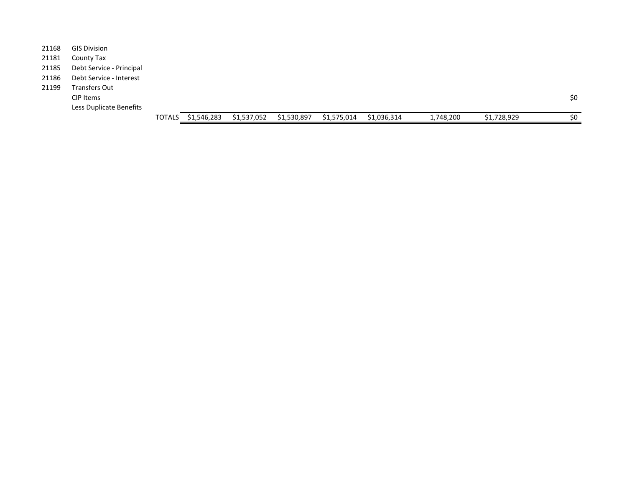|       |                          | <b>TOTALS</b> | \$1,546,283 | \$1,537,052 | \$1,530,897 | \$1,575,014 | \$1,036,314 | 1,748,200 | \$1,728,929 | \$0 |
|-------|--------------------------|---------------|-------------|-------------|-------------|-------------|-------------|-----------|-------------|-----|
|       | Less Duplicate Benefits  |               |             |             |             |             |             |           |             |     |
|       | CIP Items                |               |             |             |             |             |             |           |             | \$0 |
| 21199 | <b>Transfers Out</b>     |               |             |             |             |             |             |           |             |     |
| 21186 | Debt Service - Interest  |               |             |             |             |             |             |           |             |     |
| 21185 | Debt Service - Principal |               |             |             |             |             |             |           |             |     |
| 21181 | County Tax               |               |             |             |             |             |             |           |             |     |
| 21168 | <b>GIS Division</b>      |               |             |             |             |             |             |           |             |     |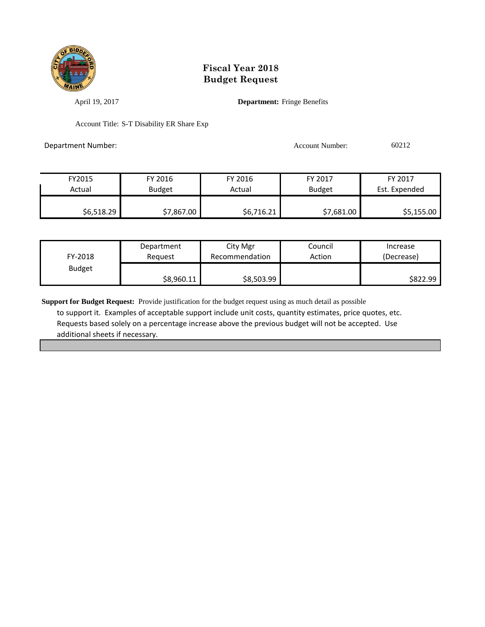

April 19, 2017 **Department:** Fringe Benefits

Account Title: S-T Disability ER Share Exp

Department Number: 60212

| FY2015     | FY 2016       | FY 2016    | FY 2017       | FY 2017       |
|------------|---------------|------------|---------------|---------------|
| Actual     | <b>Budget</b> | Actual     | <b>Budget</b> | Est. Expended |
|            |               |            |               |               |
| \$6,518.29 | \$7,867.00    | \$6,716.21 | \$7,681.00    | \$5,155.00    |

| FY-2018       | Department | City Mgr       | Council | Increase   |
|---------------|------------|----------------|---------|------------|
|               | Reauest    | Recommendation | Action  | (Decrease) |
| <b>Budget</b> | \$8,960.11 | \$8,503.99     |         | \$822.99   |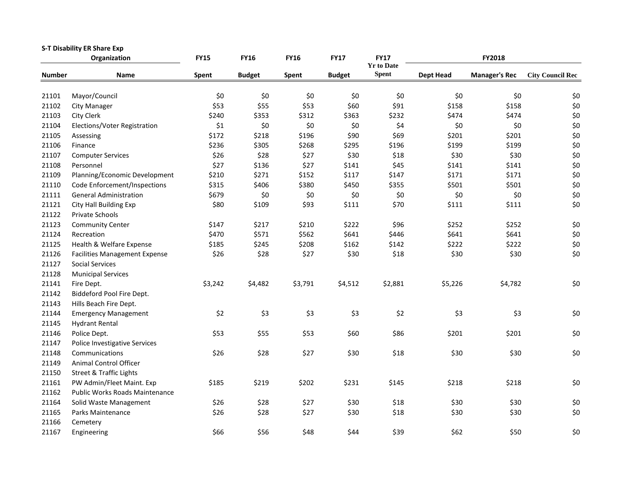|               | <b>S-T Disability ER Share Exp</b><br>Organization | <b>FY15</b> | <b>FY16</b>   | <b>FY16</b> | <b>FY17</b>   | <b>FY17</b>                       |                  | FY2018               |                         |
|---------------|----------------------------------------------------|-------------|---------------|-------------|---------------|-----------------------------------|------------------|----------------------|-------------------------|
| <b>Number</b> | <b>Name</b>                                        | Spent       | <b>Budget</b> | Spent       | <b>Budget</b> | <b>Yr to Date</b><br><b>Spent</b> | <b>Dept Head</b> | <b>Manager's Rec</b> | <b>City Council Rec</b> |
|               |                                                    |             |               |             |               |                                   |                  |                      |                         |
| 21101         | Mayor/Council                                      | \$0         | \$0           | \$0         | \$0           | \$0                               | \$0              | \$0                  | \$0                     |
| 21102         | <b>City Manager</b>                                | \$53        | \$55          | \$53        | \$60          | \$91                              | \$158            | \$158                | $$0$$                   |
| 21103         | City Clerk                                         | \$240       | \$353         | \$312       | \$363         | \$232                             | \$474            | \$474                | \$0                     |
| 21104         | Elections/Voter Registration                       | \$1         | \$0           | \$0         | \$0           | \$4                               | \$0              | \$0                  | \$0                     |
| 21105         | Assessing                                          | \$172       | \$218         | \$196       | \$90          | \$69                              | \$201            | \$201                | \$0                     |
| 21106         | Finance                                            | \$236       | \$305         | \$268       | \$295         | \$196                             | \$199            | \$199                | \$0                     |
| 21107         | <b>Computer Services</b>                           | \$26        | \$28          | \$27        | \$30          | \$18                              | \$30             | \$30                 | \$0                     |
| 21108         | Personnel                                          | \$27        | \$136         | \$27        | \$141         | \$45                              | \$141            | \$141                | \$0                     |
| 21109         | Planning/Economic Development                      | \$210       | \$271         | \$152       | \$117         | \$147                             | \$171            | \$171                | \$0                     |
| 21110         | Code Enforcement/Inspections                       | \$315       | \$406         | \$380       | \$450         | \$355                             | \$501            | \$501                | $$0$$                   |
| 21111         | <b>General Administration</b>                      | \$679       | \$0           | \$0         | \$0           | \$0                               | \$0              | \$0                  | $$0$$                   |
| 21121         | City Hall Building Exp                             | \$80        | \$109         | \$93        | \$111         | \$70                              | \$111            | \$111                | \$0                     |
| 21122         | Private Schools                                    |             |               |             |               |                                   |                  |                      |                         |
| 21123         | <b>Community Center</b>                            | \$147       | \$217         | \$210       | \$222         | \$96                              | \$252            | \$252                | \$0                     |
| 21124         | Recreation                                         | \$470       | \$571         | \$562       | \$641         | \$446                             | \$641            | \$641                | \$0                     |
| 21125         | Health & Welfare Expense                           | \$185       | \$245         | \$208       | \$162         | \$142                             | \$222            | \$222                | \$0                     |
| 21126         | <b>Facilities Management Expense</b>               | \$26        | \$28          | \$27        | \$30          | \$18                              | \$30             | \$30                 | \$0                     |
| 21127         | <b>Social Services</b>                             |             |               |             |               |                                   |                  |                      |                         |
| 21128         | <b>Municipal Services</b>                          |             |               |             |               |                                   |                  |                      |                         |
| 21141         | Fire Dept.                                         | \$3,242     | \$4,482       | \$3,791     | \$4,512       | \$2,881                           | \$5,226          | \$4,782              | \$0                     |
| 21142         | Biddeford Pool Fire Dept.                          |             |               |             |               |                                   |                  |                      |                         |
| 21143         | Hills Beach Fire Dept.                             |             |               |             |               |                                   |                  |                      |                         |
| 21144         | <b>Emergency Management</b>                        | \$2         | \$3           | \$3         | \$3           | \$2                               | \$3              | \$3                  | \$0                     |
| 21145         | <b>Hydrant Rental</b>                              |             |               |             |               |                                   |                  |                      |                         |
| 21146         | Police Dept.                                       | \$53        | \$55          | \$53        | \$60          | \$86                              | \$201            | \$201                | \$0                     |
| 21147         | Police Investigative Services                      |             |               |             |               |                                   |                  |                      |                         |
| 21148         | Communications                                     | \$26        | \$28          | \$27        | \$30          | \$18                              | \$30             | \$30                 | \$0                     |
| 21149         | Animal Control Officer                             |             |               |             |               |                                   |                  |                      |                         |
| 21150         | <b>Street &amp; Traffic Lights</b>                 |             |               |             |               |                                   |                  |                      |                         |
| 21161         | PW Admin/Fleet Maint. Exp                          | \$185       | \$219         | \$202       | \$231         | \$145                             | \$218            | \$218                | \$0                     |
| 21162         | Public Works Roads Maintenance                     |             |               |             |               |                                   |                  |                      |                         |
| 21164         | Solid Waste Management                             | \$26        | \$28          | \$27        | \$30          | \$18                              | \$30             | \$30                 | \$0                     |
| 21165         | Parks Maintenance                                  | \$26        | \$28          | \$27        | \$30          | \$18                              | \$30             | \$30                 | \$0                     |
| 21166         | Cemetery                                           |             |               |             |               |                                   |                  |                      |                         |
| 21167         | Engineering                                        | \$66        | \$56          | \$48        | \$44          | \$39                              | \$62             | \$50                 | \$0                     |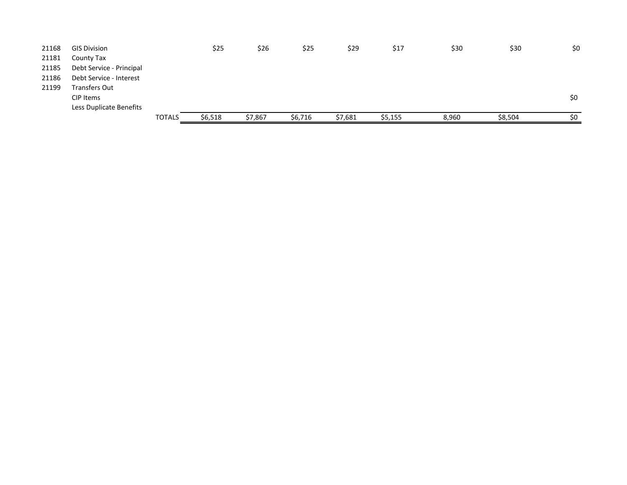| 21168 | <b>GIS Division</b>      |               | \$25    | \$26    | \$25    | \$29    | \$17    | \$30  | \$30    | \$0 |
|-------|--------------------------|---------------|---------|---------|---------|---------|---------|-------|---------|-----|
| 21181 | County Tax               |               |         |         |         |         |         |       |         |     |
| 21185 | Debt Service - Principal |               |         |         |         |         |         |       |         |     |
| 21186 | Debt Service - Interest  |               |         |         |         |         |         |       |         |     |
| 21199 | Transfers Out            |               |         |         |         |         |         |       |         |     |
|       | CIP Items                |               |         |         |         |         |         |       |         | \$0 |
|       | Less Duplicate Benefits  |               |         |         |         |         |         |       |         |     |
|       |                          | <b>TOTALS</b> | \$6,518 | \$7,867 | \$6,716 | \$7,681 | \$5,155 | 8,960 | \$8,504 | \$0 |
|       |                          |               |         |         |         |         |         |       |         |     |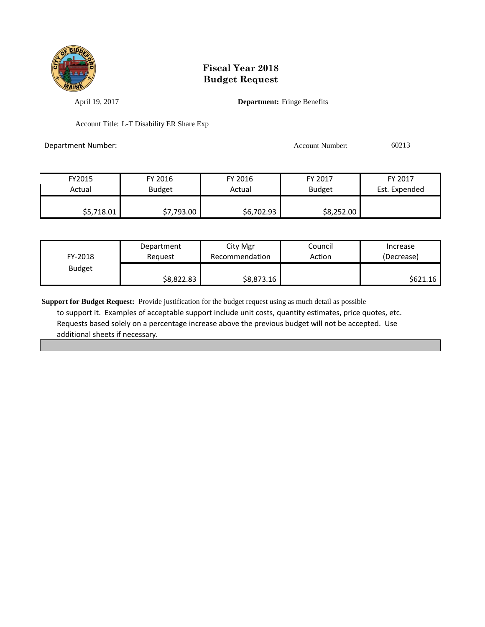

April 19, 2017 **Department:** Fringe Benefits

Account Title: L-T Disability ER Share Exp

Department Number: Account Number: 60213

| FY2015     | FY 2016       | FY 2016      | FY 2017       | FY 2017       |
|------------|---------------|--------------|---------------|---------------|
| Actual     | <b>Budget</b> | Actual       | <b>Budget</b> | Est. Expended |
|            |               |              |               |               |
| \$5,718.01 | \$7,793.00    | \$6,702.93\$ | \$8,252.00    |               |

| FY-2018       | Department | City Mgr       | Council | Increase   |  |
|---------------|------------|----------------|---------|------------|--|
|               | Reauest    | Recommendation | Action  | (Decrease) |  |
| <b>Budget</b> | \$8,822.83 | \$8,873.16     |         | \$621.16   |  |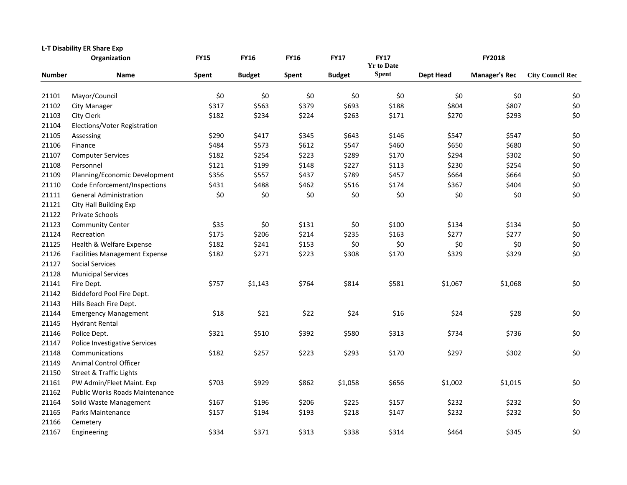|               | <b>L-T Disability ER Share Exp</b><br>Organization | <b>FY15</b> | <b>FY16</b>   | <b>FY16</b> | <b>FY17</b>   | <b>FY17</b>                       |                  | FY2018               |                         |  |  |
|---------------|----------------------------------------------------|-------------|---------------|-------------|---------------|-----------------------------------|------------------|----------------------|-------------------------|--|--|
| <b>Number</b> | Name                                               | Spent       | <b>Budget</b> | Spent       | <b>Budget</b> | <b>Yr to Date</b><br><b>Spent</b> | <b>Dept Head</b> | <b>Manager's Rec</b> | <b>City Council Rec</b> |  |  |
|               |                                                    |             |               |             |               |                                   |                  |                      |                         |  |  |
| 21101         | Mayor/Council                                      | \$0         | \$0           | \$0         | \$0           | \$0                               | \$0              | \$0                  | \$0                     |  |  |
| 21102         | <b>City Manager</b>                                | \$317       | \$563         | \$379       | \$693         | \$188                             | \$804            | \$807                | $$0$$                   |  |  |
| 21103         | City Clerk                                         | \$182       | \$234         | \$224       | \$263         | \$171                             | \$270            | \$293                | \$0                     |  |  |
| 21104         | Elections/Voter Registration                       |             |               |             |               |                                   |                  |                      |                         |  |  |
| 21105         | Assessing                                          | \$290       | \$417         | \$345       | \$643         | \$146                             | \$547            | \$547                | \$0                     |  |  |
| 21106         | Finance                                            | \$484       | \$573         | \$612       | \$547         | \$460                             | \$650            | \$680                | \$0                     |  |  |
| 21107         | <b>Computer Services</b>                           | \$182       | \$254         | \$223       | \$289         | \$170                             | \$294            | \$302                | \$0                     |  |  |
| 21108         | Personnel                                          | \$121       | \$199         | \$148       | \$227         | \$113                             | \$230            | \$254                | \$0                     |  |  |
| 21109         | Planning/Economic Development                      | \$356       | \$557         | \$437       | \$789         | \$457                             | \$664            | \$664                | $$0$$                   |  |  |
| 21110         | Code Enforcement/Inspections                       | \$431       | \$488         | \$462       | \$516         | \$174                             | \$367            | \$404                | \$0                     |  |  |
| 21111         | <b>General Administration</b>                      | \$0         | \$0           | \$0         | \$0           | \$0                               | \$0              | \$0                  | \$0                     |  |  |
| 21121         | City Hall Building Exp                             |             |               |             |               |                                   |                  |                      |                         |  |  |
| 21122         | <b>Private Schools</b>                             |             |               |             |               |                                   |                  |                      |                         |  |  |
| 21123         | <b>Community Center</b>                            | \$35        | \$0           | \$131       | \$0           | \$100                             | \$134            | \$134                | \$0                     |  |  |
| 21124         | Recreation                                         | \$175       | \$206         | \$214       | \$235         | \$163                             | \$277            | \$277                | \$0                     |  |  |
| 21125         | Health & Welfare Expense                           | \$182       | \$241         | \$153       | \$0           | \$0                               | \$0              | \$0                  | \$0                     |  |  |
| 21126         | <b>Facilities Management Expense</b>               | \$182       | \$271         | \$223       | \$308         | \$170                             | \$329            | \$329                | \$0                     |  |  |
| 21127         | <b>Social Services</b>                             |             |               |             |               |                                   |                  |                      |                         |  |  |
| 21128         | <b>Municipal Services</b>                          |             |               |             |               |                                   |                  |                      |                         |  |  |
| 21141         | Fire Dept.                                         | \$757       | \$1,143       | \$764       | \$814         | \$581                             | \$1,067          | \$1,068              | \$0                     |  |  |
| 21142         | Biddeford Pool Fire Dept.                          |             |               |             |               |                                   |                  |                      |                         |  |  |
| 21143         | Hills Beach Fire Dept.                             |             |               |             |               |                                   |                  |                      |                         |  |  |
| 21144         | <b>Emergency Management</b>                        | \$18        | \$21          | \$22        | \$24          | \$16                              | \$24             | \$28                 | \$0                     |  |  |
| 21145         | <b>Hydrant Rental</b>                              |             |               |             |               |                                   |                  |                      |                         |  |  |
| 21146         | Police Dept.                                       | \$321       | \$510         | \$392       | \$580         | \$313                             | \$734            | \$736                | \$0                     |  |  |
| 21147         | Police Investigative Services                      |             |               |             |               |                                   |                  |                      |                         |  |  |
| 21148         | Communications                                     | \$182       | \$257         | \$223       | \$293         | \$170                             | \$297            | \$302                | \$0                     |  |  |
| 21149         | Animal Control Officer                             |             |               |             |               |                                   |                  |                      |                         |  |  |
| 21150         | <b>Street &amp; Traffic Lights</b>                 |             |               |             |               |                                   |                  |                      |                         |  |  |
| 21161         | PW Admin/Fleet Maint. Exp                          | \$703       | \$929         | \$862       | \$1,058       | \$656                             | \$1,002          | \$1,015              | \$0                     |  |  |
| 21162         | <b>Public Works Roads Maintenance</b>              |             |               |             |               |                                   |                  |                      |                         |  |  |
| 21164         | Solid Waste Management                             | \$167       | \$196         | \$206       | \$225         | \$157                             | \$232            | \$232                | \$0                     |  |  |
| 21165         | Parks Maintenance                                  | \$157       | \$194         | \$193       | \$218         | \$147                             | \$232            | \$232                | \$0                     |  |  |
| 21166         | Cemetery                                           |             |               |             |               |                                   |                  |                      |                         |  |  |
| 21167         | Engineering                                        | \$334       | \$371         | \$313       | \$338         | \$314                             | \$464            | \$345                | \$0                     |  |  |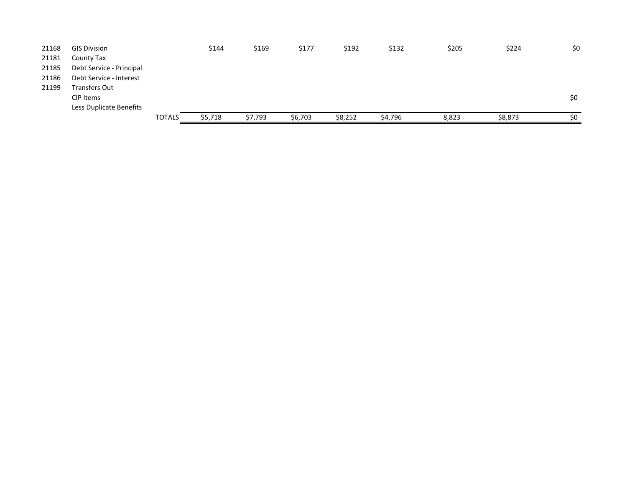| 21168 | <b>GIS Division</b>      |               | \$144   | \$169   | \$177   | \$192   | \$132   | \$205 | \$224   | \$0 |
|-------|--------------------------|---------------|---------|---------|---------|---------|---------|-------|---------|-----|
| 21181 | County Tax               |               |         |         |         |         |         |       |         |     |
| 21185 | Debt Service - Principal |               |         |         |         |         |         |       |         |     |
| 21186 | Debt Service - Interest  |               |         |         |         |         |         |       |         |     |
| 21199 | <b>Transfers Out</b>     |               |         |         |         |         |         |       |         |     |
|       | CIP Items                |               |         |         |         |         |         |       |         | \$0 |
|       | Less Duplicate Benefits  |               |         |         |         |         |         |       |         |     |
|       |                          | <b>TOTALS</b> | \$5,718 | \$7,793 | \$6,703 | \$8,252 | \$4,796 | 8,823 | \$8,873 | \$0 |
|       |                          |               |         |         |         |         |         |       |         |     |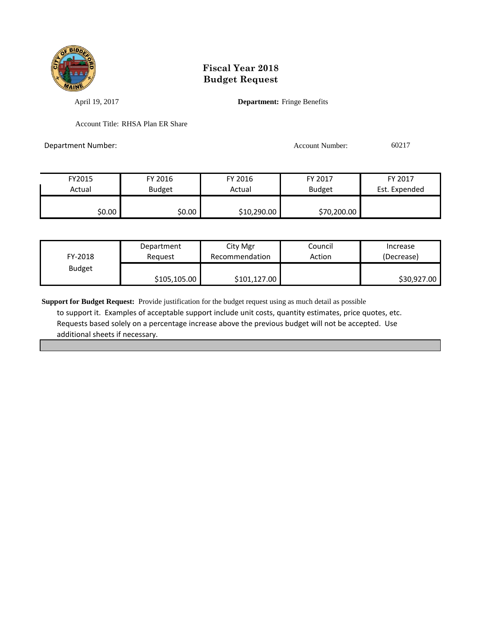

April 19, 2017 **Department:** Fringe Benefits

Account Title: RHSA Plan ER Share

Department Number: Account Number: 60217

| FY2015 | FY 2016       | FY 2016     | FY 2017       | FY 2017       |  |
|--------|---------------|-------------|---------------|---------------|--|
| Actual | <b>Budget</b> | Actual      | <b>Budget</b> | Est. Expended |  |
|        |               |             |               |               |  |
| \$0.00 | \$0.00        | \$10,290.00 | \$70,200.00   |               |  |

| FY-2018       | Reauest      | Recommendation | Action | Increase<br>(Decrease) |  |
|---------------|--------------|----------------|--------|------------------------|--|
| <b>Budget</b> | \$105,105.00 | \$101,127.00   |        | \$30,927.00            |  |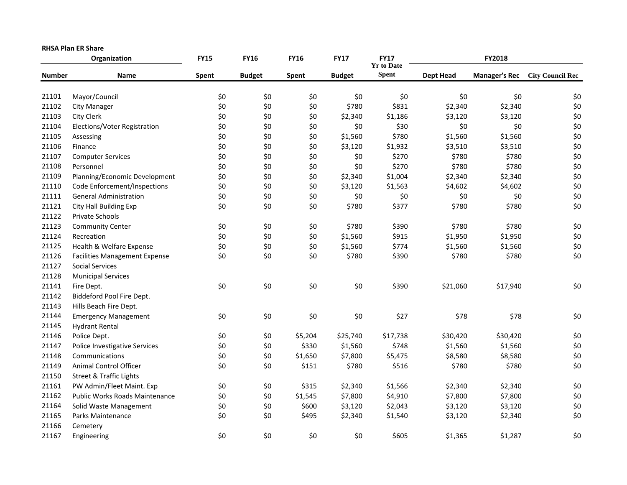|               | <b>RHSA Plan ER Share</b>            |             |               |             |               |                                  |                  |                      |                         |  |  |
|---------------|--------------------------------------|-------------|---------------|-------------|---------------|----------------------------------|------------------|----------------------|-------------------------|--|--|
|               | Organization                         | <b>FY15</b> | <b>FY16</b>   | <b>FY16</b> | <b>FY17</b>   | <b>FY17</b><br><b>Yr to Date</b> |                  | FY2018               |                         |  |  |
| <b>Number</b> | Name                                 | Spent       | <b>Budget</b> | Spent       | <b>Budget</b> | <b>Spent</b>                     | <b>Dept Head</b> | <b>Manager's Rec</b> | <b>City Council Rec</b> |  |  |
| 21101         | Mayor/Council                        | \$0         | \$0           | \$0         | \$0           | \$0                              | \$0              | \$0                  | \$0                     |  |  |
| 21102         | <b>City Manager</b>                  | \$0         | \$0           | \$0         | \$780         | \$831                            | \$2,340          | \$2,340              | \$0                     |  |  |
| 21103         | <b>City Clerk</b>                    | \$0         | \$0           | \$0         | \$2,340       | \$1,186                          | \$3,120          | \$3,120              | \$0                     |  |  |
| 21104         | Elections/Voter Registration         | \$0         | \$0           | \$0         | \$0           | \$30                             | \$0              | \$0                  | \$0                     |  |  |
| 21105         | Assessing                            | \$0         | \$0           | \$0         | \$1,560       | \$780                            | \$1,560          | \$1,560              | \$0                     |  |  |
| 21106         | Finance                              | \$0         | \$0           | \$0         | \$3,120       | \$1,932                          | \$3,510          | \$3,510              | \$0                     |  |  |
| 21107         | <b>Computer Services</b>             | \$0         | \$0           | \$0         | \$0           | \$270                            | \$780            | \$780                | \$0                     |  |  |
| 21108         | Personnel                            | \$0         | \$0           | \$0         | \$0           | \$270                            | \$780            | \$780                | \$0                     |  |  |
| 21109         | Planning/Economic Development        | \$0         | \$0           | \$0         | \$2,340       | \$1,004                          | \$2,340          | \$2,340              | \$0                     |  |  |
| 21110         | Code Enforcement/Inspections         | \$0         | \$0           | \$0         | \$3,120       | \$1,563                          | \$4,602          | \$4,602              | \$0\$                   |  |  |
| 21111         | <b>General Administration</b>        | \$0         | \$0           | \$0         | \$0           | \$0                              | \$0              | \$0                  | \$0                     |  |  |
| 21121         | City Hall Building Exp               | \$0         | \$0           | \$0         | \$780         | \$377                            | \$780            | \$780                | \$0\$                   |  |  |
| 21122         | Private Schools                      |             |               |             |               |                                  |                  |                      |                         |  |  |
| 21123         | <b>Community Center</b>              | \$0         | \$0           | \$0         | \$780         | \$390                            | \$780            | \$780                | \$0                     |  |  |
| 21124         | Recreation                           | \$0         | \$0           | \$0         | \$1,560       | \$915                            | \$1,950          | \$1,950              | \$0                     |  |  |
| 21125         | Health & Welfare Expense             | \$0         | \$0           | \$0         | \$1,560       | \$774                            | \$1,560          | \$1,560              | \$0                     |  |  |
| 21126         | <b>Facilities Management Expense</b> | \$0         | \$0           | \$0         | \$780         | \$390                            | \$780            | \$780                | \$0\$                   |  |  |
| 21127         | <b>Social Services</b>               |             |               |             |               |                                  |                  |                      |                         |  |  |
| 21128         | <b>Municipal Services</b>            |             |               |             |               |                                  |                  |                      |                         |  |  |
| 21141         | Fire Dept.                           | \$0         | \$0           | \$0         | \$0           | \$390                            | \$21,060         | \$17,940             | \$0                     |  |  |
| 21142         | Biddeford Pool Fire Dept.            |             |               |             |               |                                  |                  |                      |                         |  |  |
| 21143         | Hills Beach Fire Dept.               |             |               |             |               |                                  |                  |                      |                         |  |  |
| 21144         | <b>Emergency Management</b>          | \$0         | \$0           | \$0         | \$0           | \$27                             | \$78             | \$78                 | \$0                     |  |  |
| 21145         | <b>Hydrant Rental</b>                |             |               |             |               |                                  |                  |                      |                         |  |  |
| 21146         | Police Dept.                         | \$0         | \$0           | \$5,204     | \$25,740      | \$17,738                         | \$30,420         | \$30,420             | \$0                     |  |  |
| 21147         | Police Investigative Services        | \$0         | \$0           | \$330       | \$1,560       | \$748                            | \$1,560          | \$1,560              | \$0                     |  |  |
| 21148         | Communications                       | \$0         | \$0           | \$1,650     | \$7,800       | \$5,475                          | \$8,580          | \$8,580              | \$0\$                   |  |  |
| 21149         | Animal Control Officer               | \$0         | \$0           | \$151       | \$780         | \$516                            | \$780            | \$780                | \$0\$                   |  |  |
| 21150         | <b>Street &amp; Traffic Lights</b>   |             |               |             |               |                                  |                  |                      |                         |  |  |
| 21161         | PW Admin/Fleet Maint. Exp            | \$0         | \$0           | \$315       | \$2,340       | \$1,566                          | \$2,340          | \$2,340              | \$0                     |  |  |
| 21162         | Public Works Roads Maintenance       | \$0         | \$0           | \$1,545     | \$7,800       | \$4,910                          | \$7,800          | \$7,800              | \$0                     |  |  |
| 21164         | Solid Waste Management               | \$0         | \$0           | \$600       | \$3,120       | \$2,043                          | \$3,120          | \$3,120              | \$0                     |  |  |
| 21165         | Parks Maintenance                    | \$0         | \$0           | \$495       | \$2,340       | \$1,540                          | \$3,120          | \$2,340              | \$0                     |  |  |
| 21166         | Cemetery                             |             |               |             |               |                                  |                  |                      |                         |  |  |
| 21167         | Engineering                          | \$0         | \$0           | \$0         | \$0           | \$605                            | \$1,365          | \$1,287              | \$0                     |  |  |